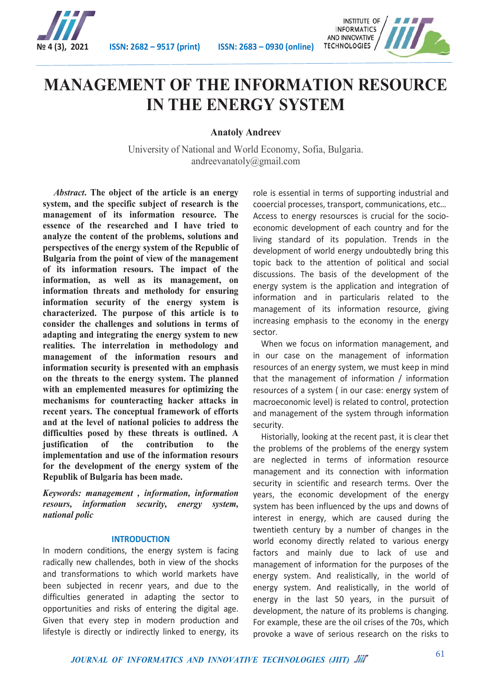



# **MANAGEMENT OF THE INFORMATION RESOURCE IN THE ENERGY SYSTEM**

**Anatoly Andreev**

University of National and World Economy, Sofia, Bulgaria. andreevanatoly@gmail.com

*Abstract***. The object of the article is an energy system, and the specific subject of research is the management of its information resource. The essence of the researched and I have tried to analyze the content of the problems, solutions and perspectives of the energy system of the Republic of Bulgaria from the point of view of the management of its information resours. The impact of the information, as well as its management, on information threats and metholody for ensuring information security of the energy system is characterized. The purpose of this article is to consider the challenges and solutions in terms of adapting and integrating the energy system to new realities. The interrelation in methodology and management of the information resours and information security is presented with an emphasis on the threats to the energy system. The planned with an emplemented measures for optimizing the mechanisms for counteracting hacker attacks in recent years. The conceptual framework of efforts and at the level of national policies to address the difficulties posed by these threats is outlined. A justification of the contribution to the implementation and use of the information resours for the development of the energy system of the Republik of Bulgaria has been made.**

*Keywords: management , information, information resours, information security, energy system, national polic*

### **INTRODUCTION**

In modern conditions, the energy system is facing radically new challendes, both in view of the shocks and transformations to which world markets have been subjected in recenr years, and due to the difficulties generated in adapting the sector to opportunities and risks of entering the digital age. Given that every step in modern production and lifestyle is directly or indirectly linked to energy, its role is essential in terms of supporting industrial and cooercial processes, transport, communications, etc… Access to energy resoursces is crucial for the socioeconomic development of each country and for the living standard of its population. Trends in the development of world energy undoubtedly bring this topic back to the attention of political and social discussions. The basis of the development of the energy system is the application and integration of information and in particularis related to the management of its information resource, giving increasing emphasis to the economy in the energy sector.

 When we focus on information management, and in our case on the management of information resources of an energy system, we must keep in mind that the management of information / information resources of a system ( in our case: energy system of macroeconomic level) is related to control, protection and management of the system through information security.

 Historially, looking at the recent past, it is clear thet the problems of the problems of the energy system are neglected in terms of information resource management and its connection with information security in scientific and research terms. Over the years, the economic development of the energy system has been influenced by the ups and downs of interest in energy, which are caused during the twentieth century by a number of changes in the world economy directly related to various energy factors and mainly due to lack of use and management of information for the purposes of the energy system. And realistically, in the world of energy system. And realistically, in the world of energy in the last 50 years, in the pursuit of development, the nature of its problems is changing. For example, these are the oil crises of the 70s, which provoke a wave of serious research on the risks to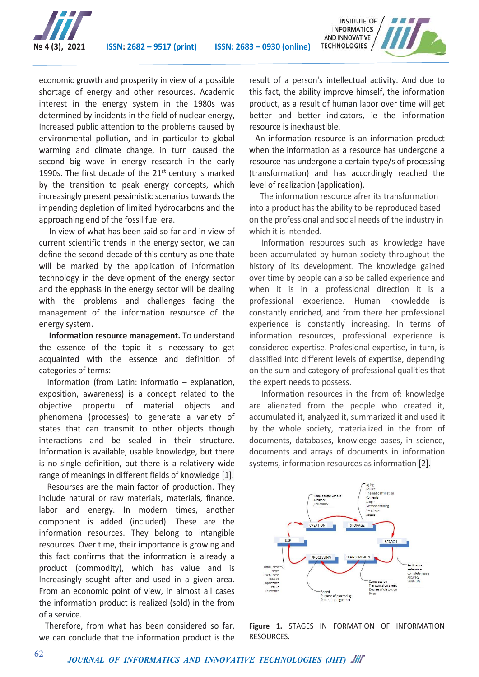

economic growth and prosperity in view of a possible shortage of energy and other resources. Academic interest in the energy system in the 1980s was determined by incidents in the field of nuclear energy, Increased public attention to the problems caused by environmental pollution, and in particular to global warming and climate change, in turn caused the second big wave in energy research in the early 1990s. The first decade of the  $21<sup>st</sup>$  century is marked by the transition to peak energy concepts, which increasingly present pessimistic scenarios towards the impending depletion of limited hydrocarbons and the approaching end of the fossil fuel era.

 In view of what has been said so far and in view of current scientific trends in the energy sector, we can define the second decade of this century as one thate will be marked by the application of information technology in the development of the energy sector and the epphasis in the energy sector will be dealing with the problems and challenges facing the management of the information resoursce of the energy system.

 **Information resource management.** To understand the essence of the topic it is necessary to get acquainted with the essence and definition of categories of terms:

 Information (from Latin: informatio – explanation, exposition, awareness) is a concept related to the objective propertu of material objects and phenomena (processes) to generate a variety of states that can transmit to other objects though interactions and be sealed in their structure. Information is available, usable knowledge, but there is no single definition, but there is a relativery wide range of meanings in different fields of knowledge [1].

 Resourses are the main factor of production. They include natural or raw materials, materials, finance, labor and energy. In modern times, another component is added (included). These are the information resources. They belong to intangible resources. Over time, their importance is growing and this fact confirms that the information is already a product (commodity), which has value and is Increasingly sought after and used in a given area. From an economic point of view, in almost all cases the information product is realized (sold) in the from of a service.

 Therefore, from what has been considered so far, we can conclude that the information product is the result of a person's intellectual activity. And due to this fact, the ability improve himself, the information product, as a result of human labor over time will get better and better indicators, ie the information resource is inexhaustible.

 An information resource is an information product when the information as a resource has undergone a resource has undergone a certain type/s of processing (transformation) and has accordingly reached the level of realization (application).

The information resource afrer its transformation into a product has the ability to be reproduced based on the professional and social needs of the industry in which it is intended.

 Information resources such as knowledge have been accumulated by human society throughout the history of its development. The knowledge gained over time by people can also be called experience and when it is in a professional direction it is a professional experience. Human knowledde is constantly enriched, and from there her professional experience is constantly increasing. In terms of information resources, professional experience is considered expertise. Profesional expertise, in turn, is classified into different levels of expertise, depending on the sum and category of professional qualities that the expert needs to possess.

 Information resources in the from of: knowledge are alienated from the people who created it, accumulated it, analyzed it, summarized it and used it by the whole society, materialized in the from of documents, databases, knowledge bases, in science, documents and arrays of documents in information systems, information resources as information [2].



**Figure 1.** STAGES IN FORMATION OF INFORMATION RESOURCES.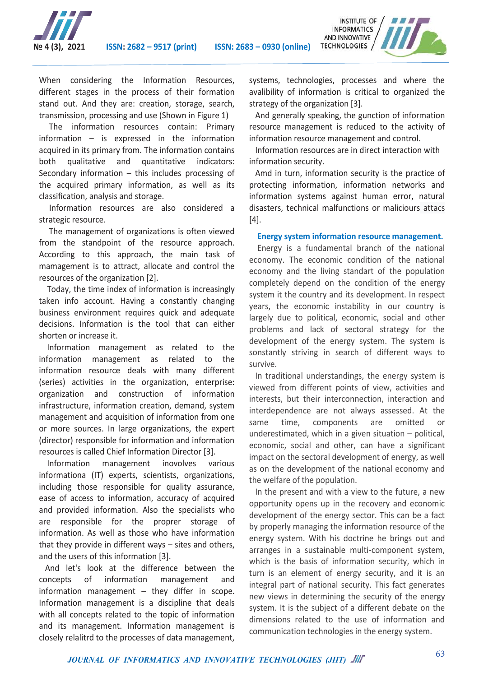

When considering the Information Resources, different stages in the process of their formation stand out. And they are: creation, storage, search, transmission, processing and use (Shown in Figure 1)

 The information resources contain: Primary information – is expressed in the information acquired in its primary from. The information contains both qualitative and quantitative indicators: Secondary information – this includes processing of the acquired primary information, as well as its classification, analysis and storage.

 Information resources are also considered a strategic resource.

 The management of organizations is often viewed from the standpoint of the resource approach. According to this approach, the main task of mamagement is to attract, allocate and control the resources of the organization [2].

 Today, the time index of information is increasingly taken info account. Having a constantly changing business environment requires quick and adequate decisions. Information is the tool that can either shorten or increase it.

 Information management as related to the information management as related to the information resource deals with many different (series) activities in the organization, enterprise: organization and construction of information infrastructure, information creation, demand, system management and acquisition of information from one or more sources. In large organizations, the expert (director) responsible for information and information resources is called Chief Information Director [3].

 Information management inovolves various informationa (IT) experts, scientists, organizations, including those responsible for quality assurance, ease of access to information, accuracy of acquired and provided information. Also the specialists who are responsible for the proprer storage of information. As well as those who have information that they provide in different ways – sites and others, and the users of this information [3].

 And let's look at the difference between the concepts of information management and information management  $-$  they differ in scope. Information management is a discipline that deals with all concepts related to the topic of information and its management. Information management is closely relalitrd to the processes of data management,

systems, technologies, processes and where the avalibility of information is critical to organized the strategy of the organization [3].

INSTITUTE OF **INFORMATICS** AND INNOVATIVE **TECHNOLOGIES** /

 And generally speaking, the gunction of information resource management is reduced to the activity of information resource management and control.

 Information resources are in direct interaction with information security.

 Amd in turn, information security is the practice of protecting information, information networks and information systems against human error, natural disasters, technical malfunctions or maliciours attacs [4].

### **Energy system information resource management.**

 Energy is a fundamental branch of the national economy. The economic condition of the national economy and the living standart of the population completely depend on the condition of the energy system it the country and its development. In respect years, the economic instability in our country is largely due to political, economic, social and other problems and lack of sectoral strategy for the development of the energy system. The system is sonstantly striving in search of different ways to survive.

 In traditional understandings, the energy system is viewed from different points of view, activities and interests, but their interconnection, interaction and interdependence are not always assessed. At the same time, components are omitted or underestimated, which in a given situation – political, economic, social and other, can have a significant impact on the sectoral development of energy, as well as on the development of the national economy and the welfare of the population.

 In the present and with a view to the future, a new opportunity opens up in the recovery and economic development of the energy sector. This can be a fact by properly managing the information resource of the energy system. With his doctrine he brings out and arranges in a sustainable multi-component system, which is the basis of information security, which in turn is an element of energy security, and it is an integral part of national security. This fact generates new views in determining the security of the energy system. It is the subject of a different debate on the dimensions related to the use of information and communication technologies in the energy system.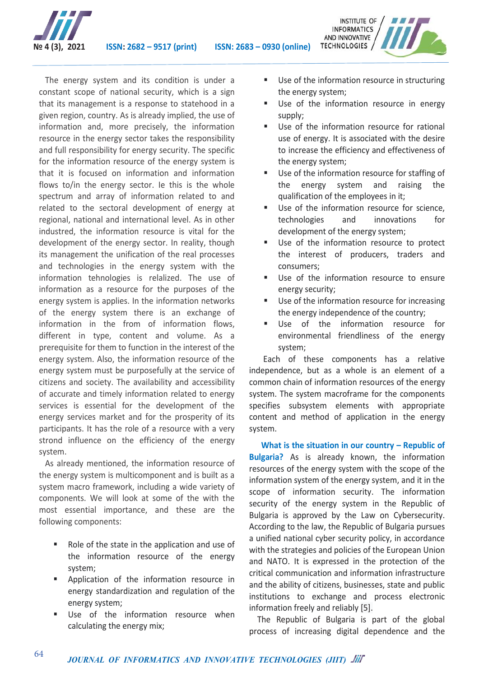

 The energy system and its condition is under a constant scope of national security, which is a sign that its management is a response to statehood in a given region, country. As is already implied, the use of information and, more precisely, the information resource in the energy sector takes the responsibility and full responsibility for energy security. The specific for the information resource of the energy system is that it is focused on information and information flows to/in the energy sector. Ie this is the whole spectrum and array of information related to and related to the sectoral development of energy at regional, national and international level. As in other industred, the information resource is vital for the development of the energy sector. In reality, though its management the unification of the real processes and technologies in the energy system with the information tehnologies is relalized. The use of information as a resource for the purposes of the energy system is applies. In the information networks of the energy system there is an exchange of information in the from of information flows, different in type, content and volume. As a prerequisite for them to function in the interest of the energy system. Also, the information resource of the energy system must be purposefully at the service of citizens and society. The availability and accessibility of accurate and timely information related to energy services is essential for the development of the energy services market and for the prosperity of its participants. It has the role of a resource with a very strond influence on the efficiency of the energy system.

 As already mentioned, the information resource of the energy system is multicomponent and is built as a system macro framework, including a wide variety of components. We will look at some of the with the most essential importance, and these are the following components:

- Role of the state in the application and use of the information resource of the energy system;
- Application of the information resource in energy standardization and regulation of the energy system;
- Use of the information resource when calculating the energy mix;

 Use of the information resource in structuring the energy system;

INSTITUTE OF **INFORMATICS** AND INNOVATIVE **TECHNOLOGIES** /

- Use of the information resource in energy supply;
- Use of the information resource for rational use of energy. It is associated with the desire to increase the efficiency and effectiveness of the energy system;
- Use of the information resource for staffing of the energy system and raising the qualification of the employees in it;
- Use of the information resource for science, technologies and innovations for development of the energy system;
- Use of the information resource to protect the interest of producers, traders and consumers;
- Use of the information resource to ensure energy security;
- Use of the information resource for increasing the energy independence of the country;
- Use of the information resource for environmental friendliness of the energy system;

 Each of these components has a relative independence, but as a whole is an element of a common chain of information resources of the energy system. The system macroframe for the components specifies subsystem elements with appropriate content and method of application in the energy system.

 **What is the situation in our country – Republic of Bulgaria?** As is already known, the information resources of the energy system with the scope of the information system of the energy system, and it in the scope of information security. The information security of the energy system in the Republic of Bulgaria is approved by the Law on Cybersecurity. According to the law, the Republic of Bulgaria pursues a unified national cyber security policy, in accordance with the strategies and policies of the European Union and NATO. It is expressed in the protection of the critical communication and information infrastructure and the ability of citizens, businesses, state and public institutions to exchange and process electronic information freely and reliably [5].

 The Republic of Bulgaria is part of the global process of increasing digital dependence and the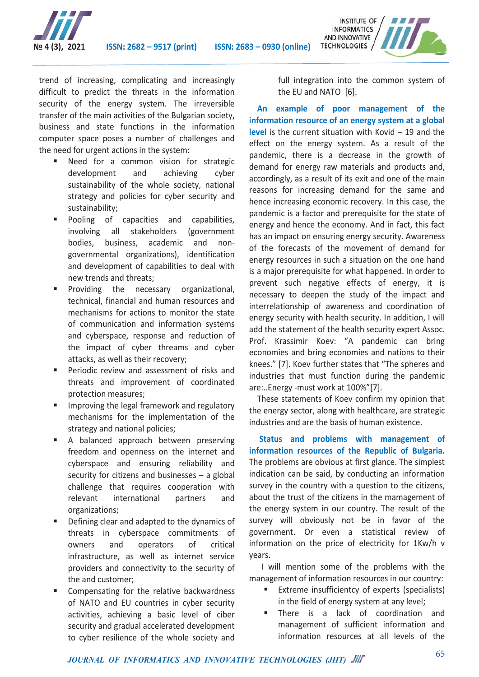

INSTITUTE OF **INFORMATICS** AND INNOVATIVE TECHNOLOGIES /

trend of increasing, complicating and increasingly difficult to predict the threats in the information security of the energy system. The irreversible transfer of the main activities of the Bulgarian society, business and state functions in the information computer space poses a number of challenges and the need for urgent actions in the system:

- Need for a common vision for strategic development and achieving cyber sustainability of the whole society, national strategy and policies for cyber security and sustainability;
- Pooling of capacities and capabilities, involving all stakeholders (government bodies, business, academic and nongovernmental organizations), identification and development of capabilities to deal with new trends and threats;
- Providing the necessary organizational, technical, financial and human resources and mechanisms for actions to monitor the state of communication and information systems and cyberspace, response and reduction of the impact of cyber threams and cyber attacks, as well as their recovery;
- Periodic review and assessment of risks and threats and improvement of coordinated protection measures;
- Improving the legal framework and regulatory mechanisms for the implementation of the strategy and national policies;
- A balanced approach between preserving freedom and openness on the internet and cyberspace and ensuring reliability and security for citizens and businesses – a global challenge that requires cooperation with relevant international partners and organizations;
- Defining clear and adapted to the dynamics of threats in cyberspace commitments of owners and operators of critical infrastructure, as well as internet service providers and connectivity to the security of the and customer;
- Compensating for the relative backwardness of NATO and EU countries in cyber security activities, achieving a basic level of ciber security and gradual accelerated development to cyber resilience of the whole society and

full integration into the common system of the EU and NATO [6].

 **An example of poor management of the information resource of an energy system at a global level** is the current situation with Kovid – 19 and the effect on the energy system. As a result of the pandemic, there is a decrease in the growth of demand for energy raw materials and products and, accordingly, as a result of its exit and one of the main reasons for increasing demand for the same and hence increasing economic recovery. In this case, the pandemic is a factor and prerequisite for the state of energy and hence the economy. And in fact, this fact has an impact on ensuring energy security. Awareness of the forecasts of the movement of demand for energy resources in such a situation on the one hand is a major prerequisite for what happened. In order to prevent such negative effects of energy, it is necessary to deepen the study of the impact and interrelationship of awareness and coordination of energy security with health security. In addition, I will add the statement of the health security expert Assoc. Prof. Krassimir Koev: "A pandemic can bring economies and bring economies and nations to their knees." [7]. Koev further states that "The spheres and industries that must function during the pandemic are:..Energy -must work at 100%"[7].

 These statements of Koev confirm my opinion that the energy sector, along with healthcare, are strategic industries and are the basis of human existence.

 **Status and problems with management of information resources of the Republic of Bulgaria.**  The problems are obvious at first glance. The simplest indication can be said, by conducting an information survey in the country with a question to the citizens, about the trust of the citizens in the mamagement of the energy system in our country. The result of the survey will obviously not be in favor of the government. Or even a statistical review of information on the price of electricity for 1Kw/h v years.

 I will mention some of the problems with the management of information resources in our country:

- **Extreme insufficientcy of experts (specialists)** in the field of energy system at any level;
- **There** is a lack of coordination and management of sufficient information and information resources at all levels of the